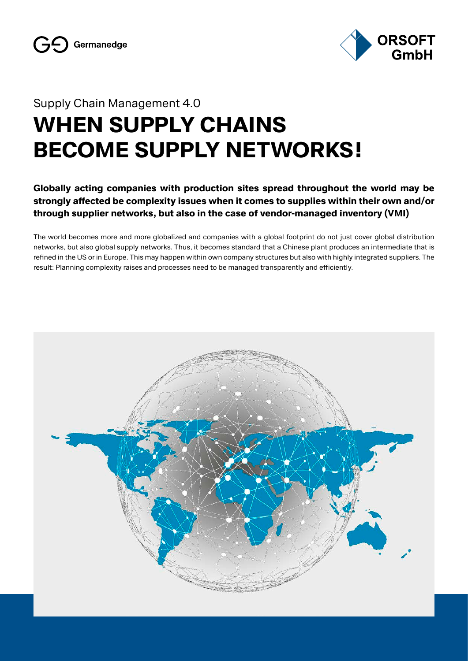

### Supply Chain Management 4.0

# **WHEN SUPPLY CHAINS BECOME SUPPLY NETWORKS!**

**Globally acting companies with production sites spread throughout the world may be strongly affected be complexity issues when it comes to supplies within their own and/or through supplier networks, but also in the case of vendor-managed inventory (VMI)**

The world becomes more and more globalized and companies with a global footprint do not just cover global distribution networks, but also global supply networks. Thus, it becomes standard that a Chinese plant produces an intermediate that is refined in the US or in Europe. This may happen within own company structures but also with highly integrated suppliers. The result: Planning complexity raises and processes need to be managed transparently and efficiently.

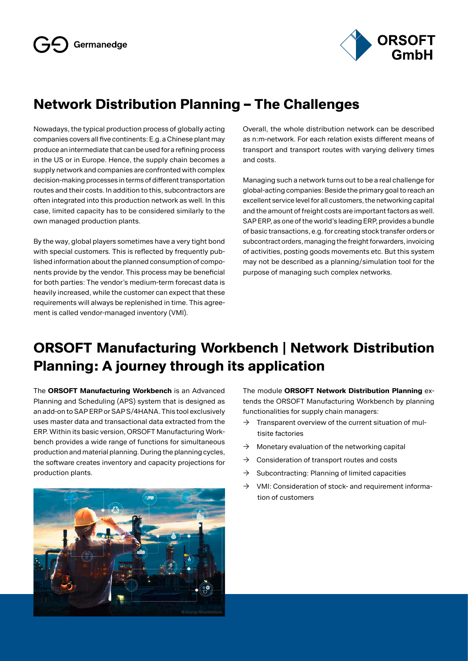

## **Network Distribution Planning – The Challenges**

Nowadays, the typical production process of globally acting companies covers all five continents: E.g. a Chinese plant may produce an intermediate that can be used for a refining process in the US or in Europe. Hence, the supply chain becomes a supply network and companies are confronted with complex decision-making processes in terms of different transportation routes and their costs. In addition to this, subcontractors are often integrated into this production network as well. In this case, limited capacity has to be considered similarly to the own managed production plants.

By the way, global players sometimes have a very tight bond with special customers. This is reflected by frequently published information about the planned consumption of components provide by the vendor. This process may be beneficial for both parties: The vendor's medium-term forecast data is heavily increased, while the customer can expect that these requirements will always be replenished in time. This agreement is called vendor-managed inventory (VMI).

Overall, the whole distribution network can be described as n:m-network. For each relation exists different means of transport and transport routes with varying delivery times and costs.

Managing such a network turns out to be a real challenge for global-acting companies: Beside the primary goal to reach an excellent service level for all customers, the networking capital and the amount of freight costs are important factors as well. SAP ERP, as one of the world's leading ERP, provides a bundle of basic transactions, e.g. for creating stock transfer orders or subcontract orders, managing the freight forwarders, invoicing of activities, posting goods movements etc. But this system may not be described as a planning/simulation tool for the purpose of managing such complex networks.

## **ORSOFT Manufacturing Workbench | Network Distribution Planning: A journey through its application**

The **ORSOFT Manufacturing Workbench** is an Advanced Planning and Scheduling (APS) system that is designed as an add-on to SAP ERP or SAP S/4HANA. This tool exclusively uses master data and transactional data extracted from the ERP. Within its basic version, ORSOFT Manufacturing Workbench provides a wide range of functions for simultaneous production and material planning. During the planning cycles, the software creates inventory and capacity projections for production plants.



The module **ORSOFT Network Distribution Planning** extends the ORSOFT Manufacturing Workbench by planning functionalities for supply chain managers:

- $\rightarrow$  Transparent overview of the current situation of multisite factories
- $\rightarrow$  Monetary evaluation of the networking capital
- $\rightarrow$  Consideration of transport routes and costs
- $\rightarrow$  Subcontracting: Planning of limited capacities
- $\rightarrow$  VMI: Consideration of stock- and requirement information of customers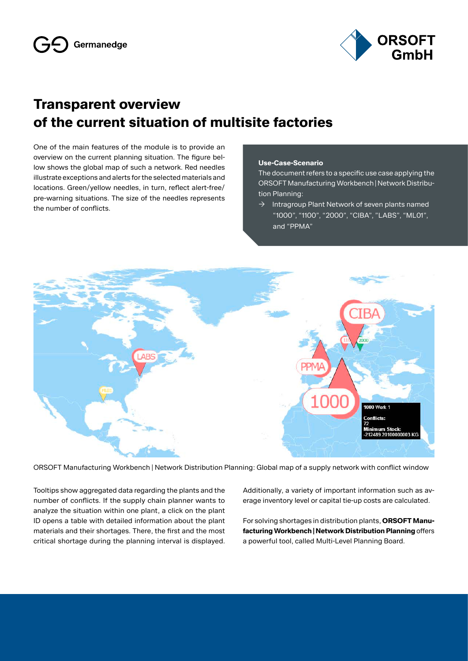

## **Transparent overview of the current situation of multisite factories**

One of the main features of the module is to provide an overview on the current planning situation. The figure bellow shows the global map of such a network. Red needles illustrate exceptions and alerts for the selected materials and locations. Green/yellow needles, in turn, reflect alert-free/ pre-warning situations. The size of the needles represents the number of conflicts.

#### **Use-Case-Scenario**

The document refers to a specific use case applying the ORSOFT Manufacturing Workbench | Network Distribution Planning:

 $\rightarrow$  Intragroup Plant Network of seven plants named "1000", "1100", "2000", "CIBA", "LABS", "ML01", and "PPMA"



ORSOFT Manufacturing Workbench | Network Distribution Planning: Global map of a supply network with conflict window

Tooltips show aggregated data regarding the plants and the number of conflicts. If the supply chain planner wants to analyze the situation within one plant, a click on the plant ID opens a table with detailed information about the plant materials and their shortages. There, the first and the most critical shortage during the planning interval is displayed. Additionally, a variety of important information such as average inventory level or capital tie-up costs are calculated.

For solving shortages in distribution plants, **ORSOFT Manufacturing Workbench | Network Distribution Planning** offers a powerful tool, called Multi-Level Planning Board.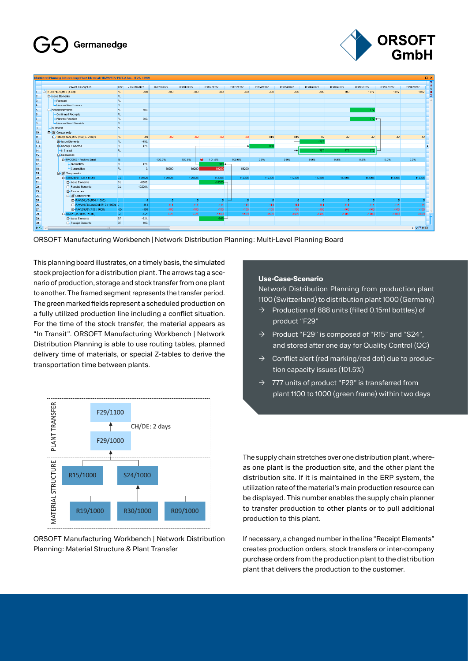## Germanedge



|                                                                          | [Multilevel Planning (descending) Plant Material FIN29,MT5-PI,PD,Char (F29, 1100) |                                                          |            |            |            |             |            |            |            |            |            |            |            |            | $\Box$ $\times$           |
|--------------------------------------------------------------------------|-----------------------------------------------------------------------------------|----------------------------------------------------------|------------|------------|------------|-------------|------------|------------|------------|------------|------------|------------|------------|------------|---------------------------|
|                                                                          |                                                                                   |                                                          |            | 02/28/2022 |            |             |            |            |            |            |            |            |            |            | 医<br>$\left  \pm \right $ |
|                                                                          |                                                                                   | <b>Object Description</b><br>< 02/28/2022<br><b>Unit</b> |            |            | 03/01/2022 | 03/02/2022  | 03/03/2022 | 03/04/2022 | 03/05/2022 | 03/06/2022 | 03/07/2022 | 03/08/2022 | 03/09/2022 | 03/10/2022 | $\bullet$                 |
|                                                                          | El-1100 (FIN29, MTS (F29))                                                        | FL.                                                      | 300        | 300        | 300        | 300         | 300        | 300        | 300        | 300        | 300        | 1077       | 1077       | 1077       | $\overline{\ast}$         |
| $\vert$ <sub>2</sub>                                                     | <b>El-Issue Elements</b>                                                          | FL.                                                      |            |            |            |             |            |            |            |            |            |            |            |            | ×                         |
| ls.                                                                      | -Forecast                                                                         | FL.                                                      |            |            |            |             |            |            |            |            |            |            |            |            | $\Delta$                  |
| $\vert$ 4                                                                | Inhouse Prod, Issues                                                              | FL.                                                      |            |            |            |             |            |            |            |            |            |            |            |            |                           |
| $\begin{array}{c c}\n5 \\ 7\n\end{array}$                                | <b>E-Receipt Elements</b>                                                         | FL.                                                      | 300.       |            |            |             |            |            |            |            |            | 777        |            |            |                           |
|                                                                          | FL.<br>Confirmed Receipts                                                         |                                                          |            |            |            |             |            |            |            |            |            |            |            |            |                           |
|                                                                          | -Planned Receipts                                                                 | FL.                                                      | 300        |            |            |             |            |            |            |            |            | $777 -$    |            |            |                           |
|                                                                          | Inhouse Prod. Receipts                                                            | FL.                                                      |            |            |            |             |            |            |            |            |            |            |            |            |                           |
| $\begin{array}{ c c }\hline \circ \\ \hline \circ \\ \hline \end{array}$ | In Transit                                                                        | FL.                                                      |            |            |            |             |            |            |            |            |            |            |            |            |                           |
|                                                                          | 白 / Components                                                                    |                                                          |            |            |            |             |            |            |            |            |            |            |            |            |                           |
| $\overline{11}$                                                          | E-1000 (FIN29 MTS (F29)) - 2 days                                                 | FL.                                                      | $-69$      | $-69$      | .89        | $-69$       | $-69$      | 819        | 819        | 42         | 42         | 42         | 42         | 42         |                           |
| 12                                                                       | El-Issue Elements                                                                 | FL.                                                      | $-495.$    |            |            |             |            |            |            | -777       |            |            |            |            |                           |
| 1.1                                                                      | <b>F</b> -Receipt Elements                                                        | FL.                                                      | 426.       |            |            |             |            | 888        |            |            |            |            |            |            |                           |
| $\overline{14}$                                                          | $\overline{\phantom{a}}$ In Transit                                               | FL.                                                      |            |            |            |             |            |            |            | 777        | 777        | 77         |            |            |                           |
| 15                                                                       | El-Resources                                                                      |                                                          |            |            |            |             |            |            |            |            |            |            |            |            |                           |
| 16                                                                       | <b>E-PACKING - Packing Small</b>                                                  | $\%$                                                     |            | 100.0%     | 100.0%     | 101.5%<br>۰ | 100.0%     | 0.0%       | 0.0%       | 0.0%       | 0.0%       | 0.0%       | 0.0%       | 0.0%       |                           |
| $\overline{17}$                                                          | - Production                                                                      | FL.                                                      | 426.       |            |            | 888         |            |            |            |            |            |            |            |            |                           |
| $\frac{1}{18}$                                                           | -Competition                                                                      | FL.                                                      | $\theta$ . | 59200      | 59200      | 59200       | 59200      |            |            |            |            |            |            |            |                           |
| 19                                                                       | <b>E-2</b> Components                                                             |                                                          |            |            |            |             |            |            |            |            |            |            |            |            |                           |
|                                                                          | E-SEMI24.PD (S24 / 1000)                                                          | CL.                                                      | 125626     | 125626     | 125626     | 112306      | 112306     | 112306     | 112306     | 112306     | 112306     | 112306     | 112306     | 112306     |                           |
|                                                                          | Fi-Issue Elements                                                                 | <b>CL</b>                                                | $-6585$    |            |            | $-13320$    |            |            |            |            |            |            |            |            |                           |
|                                                                          | <b>El-Receipt Elements</b>                                                        | <b>CL</b>                                                | 132211     |            |            |             |            |            |            |            |            |            |            |            |                           |
|                                                                          | <b>El-Resources</b>                                                               |                                                          |            |            |            |             |            |            |            |            |            |            |            |            |                           |
|                                                                          | <b>El-</b> & Components                                                           |                                                          |            |            |            |             |            |            |            |            |            |            |            |            |                           |
|                                                                          | EL-RAW30.VB (R30 / 1000)                                                          |                                                          |            | ×.         | 5.         | -5.         | <b>A</b>   | ×.         | 5          | 5.         |            | -51        | z,         |            |                           |
|                                                                          | FI-RAW19.PD.LeanGM (R19 / 1000) L                                                 |                                                          | $-114$     | $-114$     | $-114$     | $-114$      | $-114$     | $-114$     | $-114$     | $-114$     | $-114$     | $-114$     | $-114$     | $-114$     |                           |
|                                                                          | EL-RAW09.PD (R09 / 1000)                                                          | KG.                                                      | $-108$     | $-108$     | $-108$     | $-108$      | $-108$     | $-108$     | $-108$     | $-108$     | $-108$     | $-108$     | $-108$     | $-108$     | $\overline{\phantom{a}}$  |
|                                                                          | El-RAW15,PD (R15 / 1000)                                                          | ST.                                                      | $-521$     | $-521$     | $-521$     | $-1409$     | $-1409$    | $-1409$    | $-1409$    | $-1409$    | $-1409$    | $-1409$    | $-1409$    | $-1409$    |                           |
| 88888888888                                                              | Fi-Issue Elements                                                                 | <b>ST</b>                                                | $-621$     |            |            | $-888-$     |            |            |            |            |            |            |            |            |                           |
|                                                                          | <b>El-Receipt Elements</b>                                                        | <b>ST</b>                                                | 100.       |            |            |             |            |            |            |            |            |            |            |            |                           |
|                                                                          | $  \bullet \circ  $ a<br>$-111-$                                                  |                                                          |            |            |            |             |            |            |            |            |            |            |            | ▶ ○田田田     |                           |
|                                                                          |                                                                                   |                                                          |            |            |            |             |            |            |            |            |            |            |            |            |                           |

ORSOFT Manufacturing Workbench | Network Distribution Planning: Multi-Level Planning Board

This planning board illustrates, on a timely basis, the simulated stock projection for a distribution plant. The arrows tag a scenario of production, storage and stock transfer from one plant to another. The framed segment represents the transfer period. The green marked fields represent a scheduled production on a fully utilized production line including a conflict situation. For the time of the stock transfer, the material appears as "In Transit". ORSOFT Manufacturing Workbench | Network Distribution Planning is able to use routing tables, planned delivery time of materials, or special Z-tables to derive the transportation time between plants.



ORSOFT Manufacturing Workbench | Network Distribution Planning: Material Structure & Plant Transfer

#### **Use-Case-Scenario**

Network Distribution Planning from production plant 1100 (Switzerland) to distribution plant 1000 (Germany)

- Production of 888 units (filled 0.15ml bottles) of product "F29"
- $\rightarrow$  Product "F29" is composed of "R15" and "S24", and stored after one day for Quality Control (QC)
- $\rightarrow$  Conflict alert (red marking/red dot) due to production capacity issues (101.5%)
- $\rightarrow$  777 units of product "F29" is transferred from plant 1100 to 1000 (green frame) within two days

The supply chain stretches over one distribution plant, whereas one plant is the production site, and the other plant the distribution site. If it is maintained in the ERP system, the utilization rate of the material's main production resource can be displayed. This number enables the supply chain planner to transfer production to other plants or to pull additional production to this plant.

If necessary, a changed number in the line "Receipt Elements" creates production orders, stock transfers or inter-company purchase orders from the production plant to the distribution plant that delivers the production to the customer.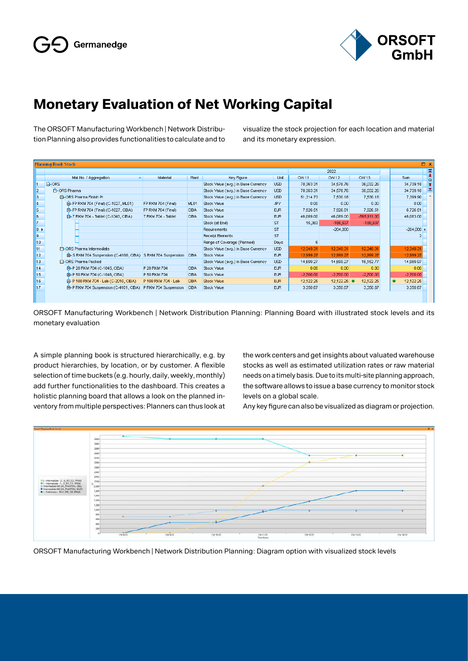

## **Monetary Evaluation of Net Working Capital**

The ORSOFT Manufacturing Workbench | Network Distribution Planning also provides functionalities to calculate and to visualize the stock projection for each location and material and its monetary expression.

|            | <b>Planning Book Stock</b><br>$\square$ $\times$           |                      |             |                                     |            |             |                       |             |  |                        |  |  |  |
|------------|------------------------------------------------------------|----------------------|-------------|-------------------------------------|------------|-------------|-----------------------|-------------|--|------------------------|--|--|--|
|            | 2022                                                       |                      |             |                                     |            |             |                       |             |  |                        |  |  |  |
|            | Mat.No. / Aggregation                                      | Material             | Plant       | Key Figure                          | Unit       | CVV 11      | CW 12                 | CW 13       |  | Sum                    |  |  |  |
|            | <b>白 ORS</b>                                               |                      |             | Stock Value (avg.) in Base Currency | <b>USD</b> | 78,363.31   | 34,578.76             | 36,032.26   |  | 34,739.18              |  |  |  |
| 2          | 中 ORS Pharma                                               |                      |             | Stock Value (avg.) in Base Currency | <b>USD</b> | 78,363.31   | 34,578.76             | 36,032.26   |  | 34,739.18              |  |  |  |
| 3          | F-ORS Pharma Finish Pr.                                    |                      |             | Stock Value (avg.) in Base Currency | <b>USD</b> | 51,314.73   | 7,530.18              | 7,530.18    |  | 7,399.90               |  |  |  |
| 4          | E-FP RKM 704 (Final) (C-1027, ML01)                        | FP RKM 704 (Final)   | ML01        | Stock Value                         | <b>JPY</b> | 0.00        | 0.00                  | 0.00        |  | 0.00                   |  |  |  |
| $\sqrt{5}$ | E-FP RKM 704 (Final) (C-1027, CIBA)                        | FP RKM 704 (Final)   | <b>CIBA</b> | Stock Value                         | <b>EUR</b> | 7,926.51    | 7,926.51              | 7,926.51    |  | 6,726.51               |  |  |  |
| 6          | E-T RKM 704 - Tablet (C-1043, CIBA)                        | T RKM 704 - Tablet   | CIBA.       | Stock Value                         | <b>EUR</b> | 46,089.00   | 46,089.00             | -565,911.00 |  | 46,083.00              |  |  |  |
|            |                                                            |                      |             | Stock (at End)                      | <b>ST</b>  | 15,363      | $-188,637$            | $-188,637$  |  |                        |  |  |  |
| $ _8$      |                                                            |                      |             | Requirements                        | <b>ST</b>  |             | $-204,000$            |             |  | $-204,000$ 4           |  |  |  |
| 9          |                                                            |                      |             | Receipt Elements                    | <b>ST</b>  |             |                       |             |  |                        |  |  |  |
| 10         |                                                            |                      |             | Range of Coverage (Planned)         | Days       |             |                       |             |  |                        |  |  |  |
| 11         | F-ORS Pharma Intermediate                                  |                      |             | Stock Value (avg.) in Base Currency | <b>USD</b> | 12,349.31   | 12,349.31             | 12,349.31   |  | 12,349.31              |  |  |  |
| 12         | E-S RKM 704 Suspension (C-4100, CIBA) S RKM 704 Suspension |                      | <b>CIBA</b> | Stock Value                         | <b>EUR</b> | 12,999.27   | 12,999.27             | 12,999.27   |  | 12,999.27              |  |  |  |
| 13         | <b>C</b> -ORS Pharma Packed                                |                      |             | Stock Value (avg.) in Base Currency | <b>USD</b> | 14.699.27   | 14,699.27             | 16,152.77   |  | 14,989.97              |  |  |  |
| 14         | E-P 20 RKM 704 (C-1045, CIBA)                              | P 20 RKM 704         | <b>CIBA</b> | Stock Value                         | <b>EUR</b> | 0.00        | 0.00                  | 0.00        |  | 0.00                   |  |  |  |
| 15         | E-P 50 RKM 704 (C-1046, CIBA)                              | P 50 RKM 704         | <b>CIBA</b> | Stock Value                         | <b>EUR</b> | $-2,700.00$ | $-2,700.00$           | $-2,700.00$ |  | $-2,700.00$            |  |  |  |
| 16         | EI-P 100 RKM 704 - Lab (C-2010, CIBA)                      | P 100 RKM 704 - Lab  | <b>CIBA</b> | Stock Value                         | <b>EUR</b> | 12,122.25   | $12,122.25$ $\bullet$ | 12,122.25   |  | 12,122.25<br>$\bullet$ |  |  |  |
| 17         | EI-P RKM 704 Suspension (C-4101, CIBA)                     | P RKM 704 Suspension | <b>CIBA</b> | Stock Value                         | <b>EUR</b> | 3,350.67    | 3,350.67              | 3,350.67    |  | 3,350.67               |  |  |  |
|            |                                                            |                      |             |                                     |            |             |                       |             |  |                        |  |  |  |
|            |                                                            |                      |             |                                     |            |             |                       |             |  |                        |  |  |  |

ORSOFT Manufacturing Workbench | Network Distribution Planning: Planning Board with illustrated stock levels and its monetary evaluation

A simple planning book is structured hierarchically, e.g. by product hierarchies, by location, or by customer. A flexible selection of time buckets (e.g. hourly, daily, weekly, monthly) add further functionalities to the dashboard. This creates a holistic planning board that allows a look on the planned inventory from multiple perspectives: Planners can thus look at the work centers and get insights about valuated warehouse stocks as well as estimated utilization rates or raw material needs on a timely basis. Due to its multi-site planning approach, the software allows to issue a base currency to monitor stock levels on a global scale.

Any key figure can also be visualized as diagram or projection.



ORSOFT Manufacturing Workbench | Network Distribution Planning: Diagram option with visualized stock levels